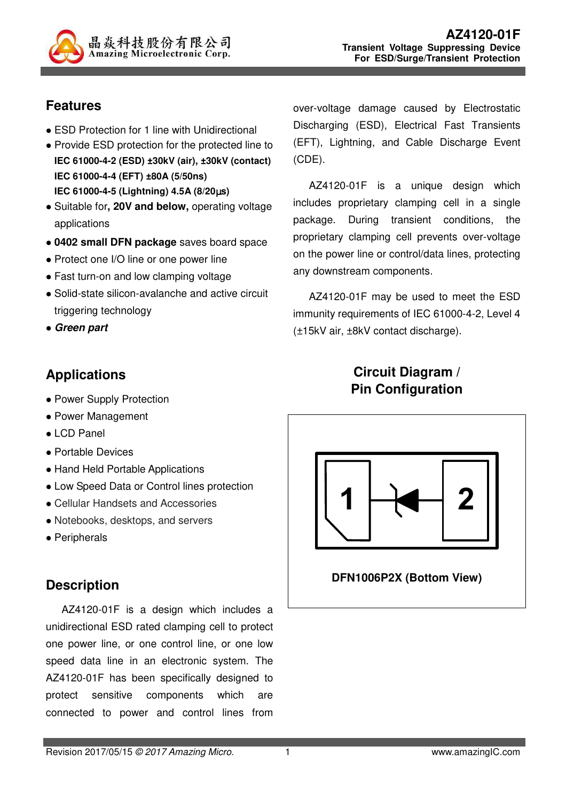

## **Features**

- ESD Protection for 1 line with Unidirectional
- Provide ESD protection for the protected line to **IEC 61000-4-2 (ESD) ±30kV (air), ±30kV (contact) IEC 61000-4-4 (EFT) ±80A (5/50ns) IEC 61000-4-5 (Lightning) 4.5A (8/20**µ**s)**
- Suitable for**, 20V and below,** operating voltage applications
- **0402 small DFN package** saves board space
- Protect one I/O line or one power line
- Fast turn-on and low clamping voltage
- Solid-state silicon-avalanche and active circuit triggering technology
- **Green part**

# **Applications**

- Power Supply Protection
- Power Management
- LCD Panel
- Portable Devices
- Hand Held Portable Applications
- Low Speed Data or Control lines protection
- Cellular Handsets and Accessories
- Notebooks, desktops, and servers
- Peripherals

## **Description**

AZ4120-01F is a design which includes a unidirectional ESD rated clamping cell to protect one power line, or one control line, or one low speed data line in an electronic system. The AZ4120-01F has been specifically designed to protect sensitive components which are connected to power and control lines from

over-voltage damage caused by Electrostatic Discharging (ESD), Electrical Fast Transients (EFT), Lightning, and Cable Discharge Event (CDE).

AZ4120-01F is a unique design which includes proprietary clamping cell in a single package. During transient conditions, the proprietary clamping cell prevents over-voltage on the power line or control/data lines, protecting any downstream components.

AZ4120-01F may be used to meet the ESD immunity requirements of IEC 61000-4-2, Level 4 (±15kV air, ±8kV contact discharge).

# **Circuit Diagram / Pin Configuration**



### **DFN1006P2X (Bottom View)**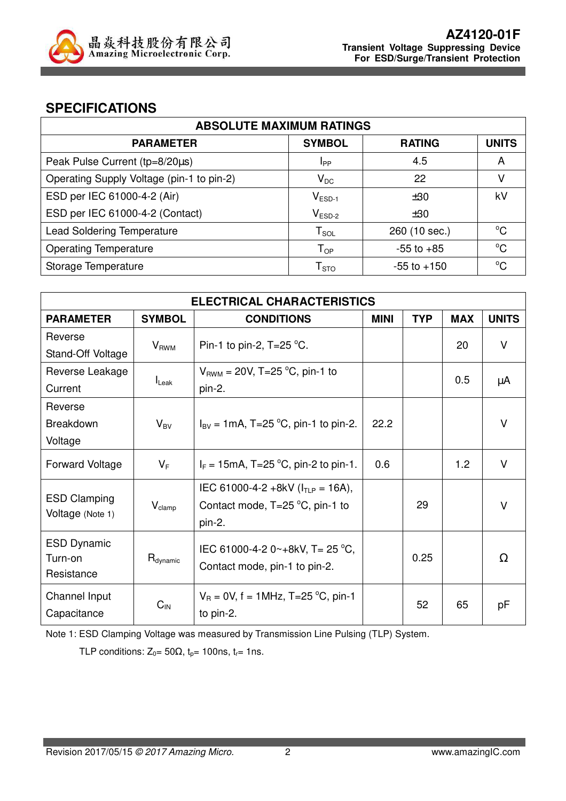

## **SPECIFICATIONS**

| <b>ABSOLUTE MAXIMUM RATINGS</b>           |                                |                 |              |  |
|-------------------------------------------|--------------------------------|-----------------|--------------|--|
| <b>PARAMETER</b>                          | <b>SYMBOL</b>                  | <b>RATING</b>   | <b>UNITS</b> |  |
| Peak Pulse Current (tp=8/20µs)            | <b>I</b> pp                    | 4.5             | A            |  |
| Operating Supply Voltage (pin-1 to pin-2) | $V_{DC}$                       | 22              | V            |  |
| ESD per IEC 61000-4-2 (Air)               | $V_{ESD-1}$                    | ±30             | kV           |  |
| ESD per IEC 61000-4-2 (Contact)           | $V_{ESD-2}$                    | ±30             |              |  |
| <b>Lead Soldering Temperature</b>         | ${\mathsf T}_{\text{\rm SOL}}$ | 260 (10 sec.)   | $^{\circ}C$  |  |
| <b>Operating Temperature</b>              | $\mathsf{T}_{\mathsf{OP}}$     | $-55$ to $+85$  | $^{\circ}C$  |  |
| Storage Temperature                       | ${\mathsf T}_{\text{STO}}$     | $-55$ to $+150$ | $^{\circ}C$  |  |

| <b>ELECTRICAL CHARACTERISTICS</b>        |                               |                                                                          |             |            |            |              |
|------------------------------------------|-------------------------------|--------------------------------------------------------------------------|-------------|------------|------------|--------------|
| <b>PARAMETER</b>                         | <b>SYMBOL</b>                 | <b>CONDITIONS</b>                                                        | <b>MINI</b> | <b>TYP</b> | <b>MAX</b> | <b>UNITS</b> |
| Reverse                                  | $V_{RWM}$                     | Pin-1 to pin-2, $T=25$ °C.                                               |             |            | 20         | $\vee$       |
| Stand-Off Voltage                        |                               |                                                                          |             |            |            |              |
| Reverse Leakage                          |                               | $V_{\text{RWM}}$ = 20V, T=25 °C, pin-1 to                                |             |            | 0.5        |              |
| Current                                  | $I_{\text{L}eak}$             | pin-2.                                                                   |             |            |            | μA           |
| Reverse                                  |                               |                                                                          |             |            |            |              |
| <b>Breakdown</b>                         | $V_{BV}$                      | $I_{\text{BV}} = 1 \text{mA}, T = 25 \text{ °C}, \text{pin-1 to pin-2}.$ | 22.2        |            |            | $\vee$       |
| Voltage                                  |                               |                                                                          |             |            |            |              |
| Forward Voltage                          | $V_F$                         | $I_F = 15 \text{mA}, T = 25 \text{°C}, \text{pin-2 to pin-1}.$           | 0.6         |            | 1.2        | $\vee$       |
|                                          |                               | IEC 61000-4-2 +8kV ( $I_{TLP}$ = 16A),                                   |             |            |            |              |
| <b>ESD Clamping</b><br>Voltage (Note 1)  | $\mathsf{V}_{\mathsf{clamp}}$ | Contact mode, $T=25\text{ °C}$ , pin-1 to                                |             | 29         |            | V            |
|                                          | pin-2.                        |                                                                          |             |            |            |              |
| <b>ESD Dynamic</b>                       |                               | IEC 61000-4-2 0~+8kV, T= 25 °C,                                          |             |            |            |              |
| Turn-on                                  | $R_{\text{dynamic}}$          | Contact mode, pin-1 to pin-2.                                            |             | 0.25       |            | $\Omega$     |
| Resistance                               |                               |                                                                          |             |            |            |              |
| Channel Input<br>$C_{IN}$<br>Capacitance |                               | $V_B = 0V$ , f = 1MHz, T=25 °C, pin-1                                    |             | 52         | 65         |              |
|                                          |                               | to pin-2.                                                                |             |            |            | pF           |

Note 1: ESD Clamping Voltage was measured by Transmission Line Pulsing (TLP) System.

TLP conditions:  $Z_0 = 50\Omega$ ,  $t_p = 100$ ns,  $t_r = 1$ ns.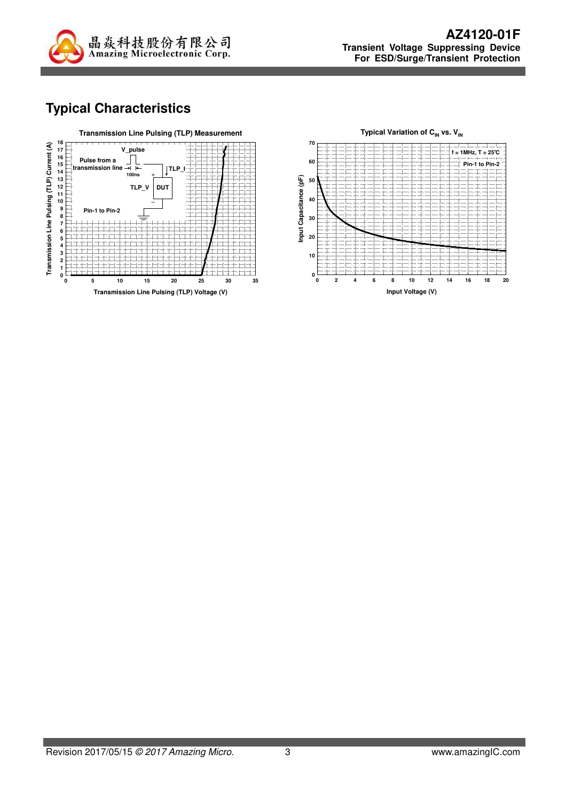

# **Typical Characteristics**

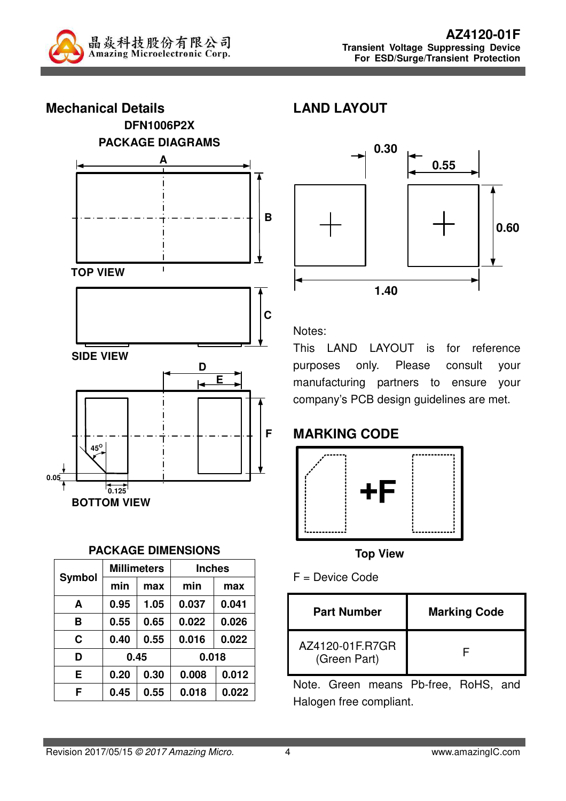



### **PACKAGE DIMENSIONS**

| <b>Millimeters</b> |      | <b>Inches</b> |       |       |
|--------------------|------|---------------|-------|-------|
| <b>Symbol</b>      | min  | max           | min   | max   |
| A                  | 0.95 | 1.05          | 0.037 | 0.041 |
| В                  | 0.55 | 0.65          | 0.022 | 0.026 |
| C                  | 0.40 | 0.55          | 0.016 | 0.022 |
| D                  | 0.45 |               | 0.018 |       |
| E                  | 0.20 | 0.30          | 0.008 | 0.012 |
| F                  | 0.45 | 0.55          | 0.018 | 0.022 |

# **LAND LAYOUT**



Notes:

This LAND LAYOUT is for reference purposes only. Please consult your manufacturing partners to ensure your company's PCB design guidelines are met.

# **MARKING CODE**



**Top View** 

| F = Device Code |  |
|-----------------|--|
|-----------------|--|

| <b>Part Number</b>              | <b>Marking Code</b> |
|---------------------------------|---------------------|
| AZ4120-01F.R7GR<br>(Green Part) |                     |

Note. Green means Pb-free, RoHS, and Halogen free compliant.